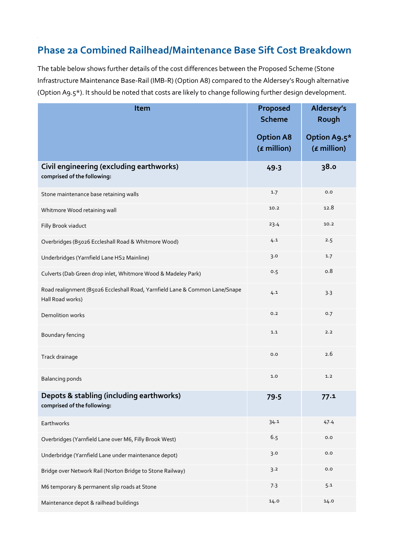## **Phase 2a Combined Railhead/Maintenance Base Sift Cost Breakdown**

The table below shows further details of the cost differences between the Proposed Scheme (Stone Infrastructure Maintenance Base-Rail (IMB-R) (Option A8) compared to the Aldersey's Rough alternative (Option A9.5\*). It should be noted that costs are likely to change following further design development.

| Item                                                                                            | Proposed<br><b>Scheme</b>         | Aldersey's<br>Rough         |
|-------------------------------------------------------------------------------------------------|-----------------------------------|-----------------------------|
|                                                                                                 | <b>Option A8</b><br>$(E$ million) | Option A9.5*<br>(£ million) |
| Civil engineering (excluding earthworks)<br>comprised of the following:                         | 49.3                              | 38.o                        |
| Stone maintenance base retaining walls                                                          | 1.7                               | 0.0                         |
| Whitmore Wood retaining wall                                                                    | 10.2                              | 12.8                        |
| Filly Brook viaduct                                                                             | 23.4                              | 10.2                        |
| Overbridges (B5026 Eccleshall Road & Whitmore Wood)                                             | 4.1                               | 2.5                         |
| Underbridges (Yarnfield Lane HS2 Mainline)                                                      | 3.0                               | 1.7                         |
| Culverts (Dab Green drop inlet, Whitmore Wood & Madeley Park)                                   | 0.5                               | 0.8                         |
| Road realignment (B5026 Eccleshall Road, Yarnfield Lane & Common Lane/Snape<br>Hall Road works) | 4.1                               | 3.3                         |
| Demolition works                                                                                | 0.2                               | 0.7                         |
| Boundary fencing                                                                                | 1.1                               | 2.2                         |
| Track drainage                                                                                  | 0.0                               | 2.6                         |
| <b>Balancing ponds</b>                                                                          | 1.0                               | 1.2                         |
| Depots & stabling (including earthworks)<br>comprised of the following:                         | 79.5                              | 77.1                        |
| Earthworks                                                                                      | 34.1                              | 47.4                        |
| Overbridges (Yarnfield Lane over M6, Filly Brook West)                                          | 6.5                               | $_{0.0}$                    |
| Underbridge (Yarnfield Lane under maintenance depot)                                            | 3.0                               | $_{0.0}$                    |
| Bridge over Network Rail (Norton Bridge to Stone Railway)                                       | 3.2                               | $_{0.0}$                    |
| M6 temporary & permanent slip roads at Stone                                                    | 7.3                               | 5.1                         |
| Maintenance depot & railhead buildings                                                          | 14.0                              | 14.0                        |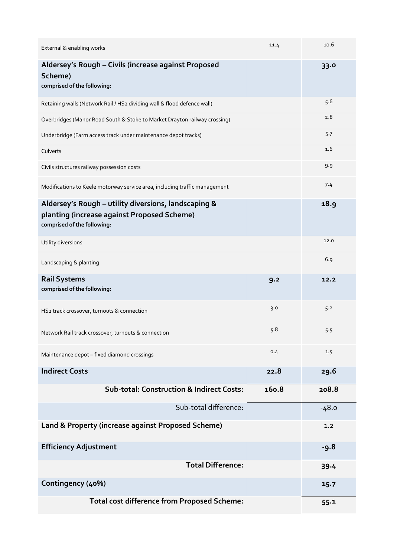| External & enabling works                                                                                                          | 11.4  | 10.6    |
|------------------------------------------------------------------------------------------------------------------------------------|-------|---------|
| Aldersey's Rough - Civils (increase against Proposed<br>Scheme)<br>comprised of the following:                                     |       | 33.0    |
| Retaining walls (Network Rail / HS2 dividing wall & flood defence wall)                                                            |       | 5.6     |
| Overbridges (Manor Road South & Stoke to Market Drayton railway crossing)                                                          |       | 2.8     |
| Underbridge (Farm access track under maintenance depot tracks)                                                                     |       | 5.7     |
| Culverts                                                                                                                           |       | 1.6     |
| Civils structures railway possession costs                                                                                         |       | 9.9     |
| Modifications to Keele motorway service area, including traffic management                                                         |       | 7.4     |
| Aldersey's Rough - utility diversions, landscaping &<br>planting (increase against Proposed Scheme)<br>comprised of the following: |       | 18.9    |
| Utility diversions                                                                                                                 |       | 12.0    |
| Landscaping & planting                                                                                                             |       | 6.9     |
| <b>Rail Systems</b><br>comprised of the following:                                                                                 | 9.2   | 12.2    |
| HS2 track crossover, turnouts & connection                                                                                         | 3.0   | 5.2     |
| Network Rail track crossover, turnouts & connection                                                                                | 5.8   | 5.5     |
| Maintenance depot - fixed diamond crossings                                                                                        | 0.4   | 1.5     |
| <b>Indirect Costs</b>                                                                                                              | 22.8  | 29.6    |
| <b>Sub-total: Construction &amp; Indirect Costs:</b>                                                                               | 160.8 | 208.8   |
| Sub-total difference:                                                                                                              |       | $-48.0$ |
| Land & Property (increase against Proposed Scheme)                                                                                 |       | 1.2     |
| <b>Efficiency Adjustment</b>                                                                                                       |       | $-9.8$  |
| <b>Total Difference:</b>                                                                                                           |       | 39.4    |
| Contingency (40%)                                                                                                                  |       | 15.7    |
| <b>Total cost difference from Proposed Scheme:</b>                                                                                 |       | 55.1    |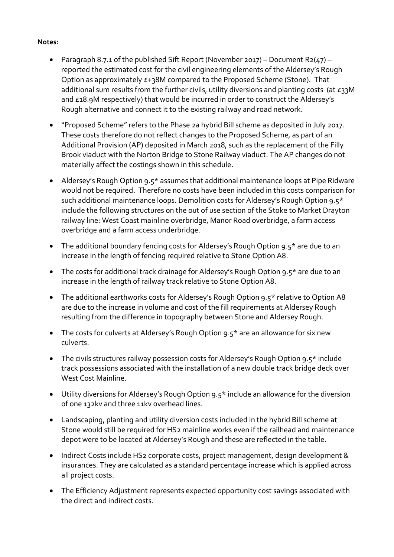## **Notes:**

- Paragraph 8.7.1 of the published Sift Report (November 2017) Document R2(47) reported the estimated cost for the civil engineering elements of the Aldersey's Rough Option as approximately £+38M compared to the Proposed Scheme (Stone). That additional sum results from the further civils, utility diversions and planting costs (at £33M and £18.9M respectively) that would be incurred in order to construct the Aldersey's Rough alternative and connect it to the existing railway and road network.
- "Proposed Scheme" refers to the Phase 2a hybrid Bill scheme as deposited in July 2017. These costs therefore do not reflect changes to the Proposed Scheme, as part of an Additional Provision (AP) deposited in March 2018, such as the replacement of the Filly Brook viaduct with the Norton Bridge to Stone Railway viaduct. The AP changes do not materially affect the costings shown in this schedule.
- Aldersey's Rough Option 9.5\* assumes that additional maintenance loops at Pipe Ridware would not be required. Therefore no costs have been included in this costs comparison for such additional maintenance loops. Demolition costs for Aldersey's Rough Option 9.5\* include the following structures on the out of use section of the Stoke to Market Drayton railway line: West Coast mainline overbridge, Manor Road overbridge, a farm access overbridge and a farm access underbridge.
- The additional boundary fencing costs for Aldersey's Rough Option 9.5\* are due to an increase in the length of fencing required relative to Stone Option A8.
- The costs for additional track drainage for Aldersey's Rough Option 9.5\* are due to an increase in the length of railway track relative to Stone Option A8.
- The additional earthworks costs for Aldersey's Rough Option 9.5\* relative to Option A8 are due to the increase in volume and cost of the fill requirements at Aldersey Rough resulting from the difference in topography between Stone and Aldersey Rough.
- The costs for culverts at Aldersey's Rough Option 9.5\* are an allowance for six new culverts.
- The civils structures railway possession costs for Aldersey's Rough Option 9.5\* include track possessions associated with the installation of a new double track bridge deck over West Cost Mainline.
- Utility diversions for Aldersey's Rough Option 9.5\* include an allowance for the diversion of one 132kv and three 11kv overhead lines.
- Landscaping, planting and utility diversion costs included in the hybrid Bill scheme at Stone would still be required for HS2 mainline works even if the railhead and maintenance depot were to be located at Aldersey's Rough and these are reflected in the table.
- Indirect Costs include HS2 corporate costs, project management, design development & insurances. They are calculated as a standard percentage increase which is applied across all project costs.
- The Efficiency Adjustment represents expected opportunity cost savings associated with the direct and indirect costs.